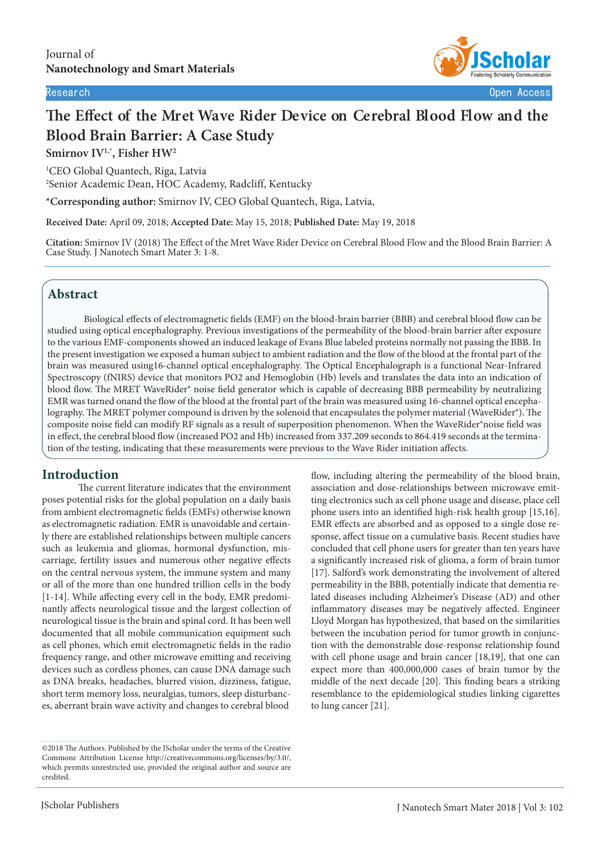

# **The Effect of the Mret Wave Rider Device on Cerebral Blood Flow and the Blood Brain Barrier: A Case Study**

**Smirnov IV1,\*, Fisher HW<sup>2</sup>**

<sup>1</sup>CEO Global Quantech, Riga, Latvia <sup>2</sup>Senior Academic Dean, HOC Academy, Radcliff, Kentucky

\*Corresponding author: Smirnov IV, CEO Global Quantech, Riga, Latvia,

**Received Date:** April 09, 2018; **Accepted Date:** May 15, 2018; **Published Date:** May 19, 2018

**Citation:** Smirnov IV (2018) The Effect of the Mret Wave Rider Device on Cerebral Blood Flow and the Blood Brain Barrier: A Case Study. J Nanotech Smart Mater 3: 1-8.

# **Abstract**

Biological effects of electromagnetic fields (EMF) on the blood-brain barrier (BBB) and cerebral blood flow can be studied using optical encephalography. Previous investigations of the permeability of the blood-brain barrier after exposure to the various EMF-components showed an induced leakage of Evans Blue labeled proteins normally not passing the BBB. In the present investigation we exposed a human subject to ambient radiation and the flow of the blood at the frontal part of the brain was measured using16-channel optical encephalography. The Optical Encephalograph is a functional Near-Infrared Spectroscopy (fNIRS) device that monitors PO2 and Hemoglobin (Hb) levels and translates the data into an indication of blood flow. The MRET WaveRider® noise field generator which is capable of decreasing BBB permeability by neutralizing EMR was turned onand the flow of the blood at the frontal part of the brain was measured using 16-channel optical encephalography. The MRET polymer compound is driven by the solenoid that encapsulates the polymer material (WaveRider®). The composite noise field can modify RF signals as a result of superposition phenomenon. When the WaveRider®noise field was in effect, the cerebral blood flow (increased PO2 and Hb) increased from 337.209 seconds to 864.419 seconds at the termination of the testing, indicating that these measurements were previous to the Wave Rider initiation affects.

# **Introduction**

The current literature indicates that the environment poses potential risks for the global population on a daily basis from ambient electromagnetic fields (EMFs) otherwise known as electromagnetic radiation. EMR is unavoidable and certainly there are established relationships between multiple cancers such as leukemia and gliomas, hormonal dysfunction, miscarriage, fertility issues and numerous other negative effects on the central nervous system, the immune system and many or all of the more than one hundred trillion cells in the body [1-14]. While affecting every cell in the body, EMR predominantly affects neurological tissue and the largest collection of neurological tissue is the brain and spinal cord. It has been well documented that all mobile communication equipment such as cell phones, which emit electromagnetic fields in the radio frequency range, and other microwave emitting and receiving devices such as cordless phones, can cause DNA damage such as DNA breaks, headaches, blurred vision, dizziness, fatigue, short term memory loss, neuralgias, tumors, sleep disturbances, aberrant brain wave activity and changes to cerebral blood

flow, including altering the permeability of the blood brain, association and dose-relationships between microwave emitting electronics such as cell phone usage and disease, place cell phone users into an identified high-risk health group [15,16]. EMR effects are absorbed and as opposed to a single dose response, affect tissue on a cumulative basis. Recent studies have concluded that cell phone users for greater than ten years have a significantly increased risk of glioma, a form of brain tumor [17]. Salford's work demonstrating the involvement of altered permeability in the BBB, potentially indicate that dementia related diseases including Alzheimer's Disease (AD) and other inflammatory diseases may be negatively affected. Engineer Lloyd Morgan has hypothesized, that based on the similarities between the incubation period for tumor growth in conjunction with the demonstrable dose-response relationship found with cell phone usage and brain cancer [18,19], that one can expect more than 400,000,000 cases of brain tumor by the middle of the next decade [20]. This finding bears a striking resemblance to the epidemiological studies linking cigarettes to lung cancer [21].

<sup>©2018</sup> The Authors. Published by the JScholar under the terms of the Creative Commons Attribution License http://creativecommons.org/licenses/by/3.0/, which permits unrestricted use, provided the original author and source are credited.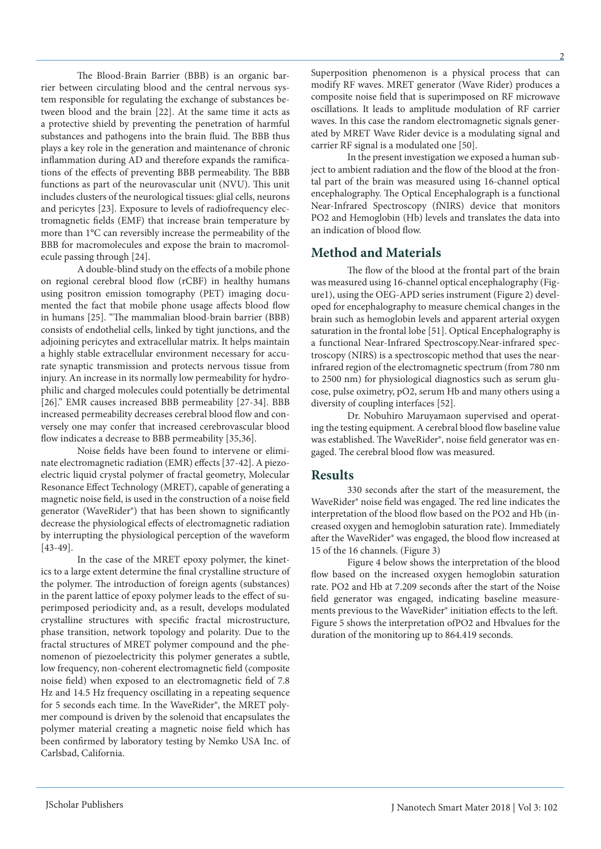The Blood-Brain Barrier (BBB) is an organic barrier between circulating blood and the central nervous system responsible for regulating the exchange of substances between blood and the brain [22]. At the same time it acts as a protective shield by preventing the penetration of harmful substances and pathogens into the brain fluid. The BBB thus plays a key role in the generation and maintenance of chronic inflammation during AD and therefore expands the ramifications of the effects of preventing BBB permeability. The BBB functions as part of the neurovascular unit (NVU). This unit includes clusters of the neurological tissues: glial cells, neurons and pericytes [23]. Exposure to levels of radiofrequency electromagnetic fields (EMF) that increase brain temperature by more than 1°C can reversibly increase the permeability of the BBB for macromolecules and expose the brain to macromolecule passing through [24].

A double-blind study on the effects of a mobile phone on regional cerebral blood flow (rCBF) in healthy humans using positron emission tomography (PET) imaging documented the fact that mobile phone usage affects blood flow in humans [25]. "The mammalian blood-brain barrier (BBB) consists of endothelial cells, linked by tight junctions, and the adjoining pericytes and extracellular matrix. It helps maintain a highly stable extracellular environment necessary for accurate synaptic transmission and protects nervous tissue from injury. An increase in its normally low permeability for hydrophilic and charged molecules could potentially be detrimental [26]." EMR causes increased BBB permeability [27-34]. BBB increased permeability decreases cerebral blood flow and conversely one may confer that increased cerebrovascular blood flow indicates a decrease to BBB permeability [35,36].

Noise fields have been found to intervene or eliminate electromagnetic radiation (EMR) effects [37-42]. A piezoelectric liquid crystal polymer of fractal geometry, Molecular Resonance Effect Technology (MRET), capable of generating a magnetic noise field, is used in the construction of a noise field generator (WaveRider®) that has been shown to significantly decrease the physiological effects of electromagnetic radiation by interrupting the physiological perception of the waveform  $[43-49]$ .

In the case of the MRET epoxy polymer, the kinetics to a large extent determine the final crystalline structure of the polymer. The introduction of foreign agents (substances) in the parent lattice of epoxy polymer leads to the effect of superimposed periodicity and, as a result, develops modulated crystalline structures with specific fractal microstructure, phase transition, network topology and polarity. Due to the fractal structures of MRET polymer compound and the phenomenon of piezoelectricity this polymer generates a subtle, low frequency, non-coherent electromagnetic field (composite noise field) when exposed to an electromagnetic field of 7.8 Hz and 14.5 Hz frequency oscillating in a repeating sequence for 5 seconds each time. In the WaveRider®, the MRET polymer compound is driven by the solenoid that encapsulates the polymer material creating a magnetic noise field which has been confirmed by laboratory testing by Nemko USA Inc. of Carlsbad, California.

Superposition phenomenon is a physical process that can modify RF waves. MRET generator (Wave Rider) produces a composite noise field that is superimposed on RF microwave oscillations. It leads to amplitude modulation of RF carrier waves. In this case the random electromagnetic signals generated by MRET Wave Rider device is a modulating signal and carrier RF signal is a modulated one [50].

In the present investigation we exposed a human subject to ambient radiation and the flow of the blood at the frontal part of the brain was measured using 16-channel optical encephalography. The Optical Encephalograph is a functional Near-Infrared Spectroscopy (fNIRS) device that monitors PO2 and Hemoglobin (Hb) levels and translates the data into an indication of blood flow.

#### **Method and Materials**

The flow of the blood at the frontal part of the brain was measured using 16-channel optical encephalography (Figure1), using the OEG-APD series instrument (Figure 2) developed for encephalography to measure chemical changes in the brain such as hemoglobin levels and apparent arterial oxygen saturation in the frontal lobe [51]. Optical Encephalography is a functional Near-Infrared Spectroscopy.Near-infrared spectroscopy (NIRS) is a spectroscopic method that uses the nearinfrared region of the electromagnetic spectrum (from 780 nm to 2500 nm) for physiological diagnostics such as serum glucose, pulse oximetry, pO2, serum Hb and many others using a diversity of coupling interfaces [52].

Dr. Nobuhiro Maruyamaon supervised and operating the testing equipment. A cerebral blood flow baseline value was established. The WaveRider®, noise field generator was engaged. The cerebral blood flow was measured.

#### **Results**

330 seconds after the start of the measurement, the WaveRider® noise field was engaged. The red line indicates the interpretation of the blood flow based on the PO2 and Hb (increased oxygen and hemoglobin saturation rate). Immediately after the WaveRider® was engaged, the blood flow increased at 15 of the 16 channels. (Figure 3)

Figure 4 below shows the interpretation of the blood flow based on the increased oxygen hemoglobin saturation rate. PO2 and Hb at 7.209 seconds after the start of the Noise field generator was engaged, indicating baseline measurements previous to the WaveRider® initiation effects to the left. Figure 5 shows the interpretation ofPO2 and Hbvalues for the duration of the monitoring up to 864.419 seconds.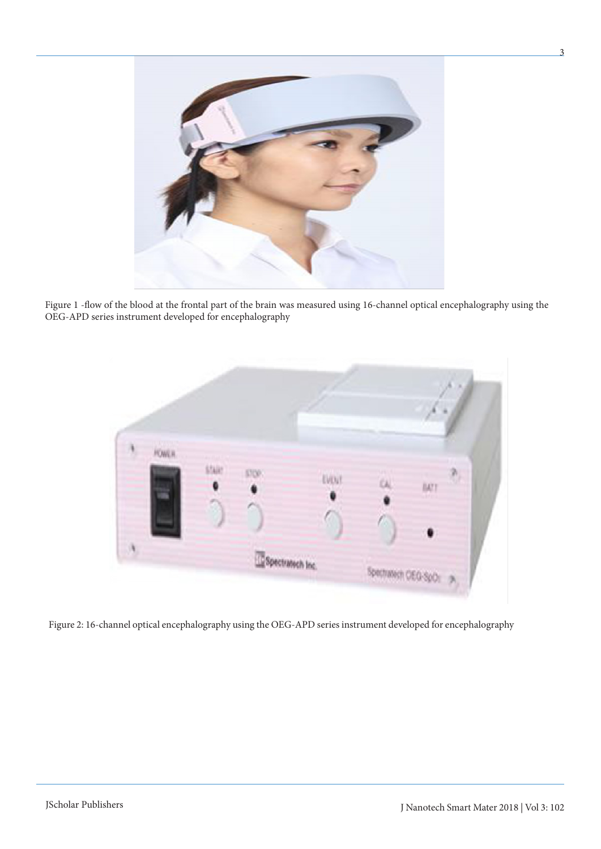

Figure 1 -flow of the blood at the frontal part of the brain was measured using 16-channel optical encephalography using the OEG-APD series instrument developed for encephalography



Figure 2: 16-channel optical encephalography using the OEG-APD series instrument developed for encephalography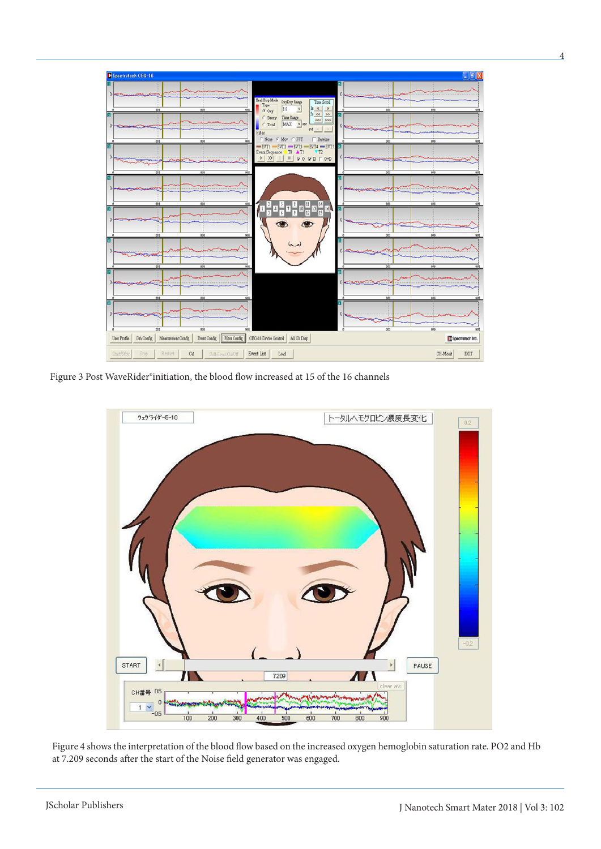| <b>B</b> Spectratech OEG-16                                                       |                                                                                                                                                                             |                                               | $\Box$ e         |
|-----------------------------------------------------------------------------------|-----------------------------------------------------------------------------------------------------------------------------------------------------------------------------|-----------------------------------------------|------------------|
| $0 -$<br><b>COMMANDED IN</b><br>221<br>MA                                         | <b>Head Dup Mode</b><br>OxyDxy Range<br>Time Scroll<br>Typ<br>16 <   ><br> 1.0 <br>$\overline{\phantom{a}}$<br>G Oxy                                                        | $0 -$<br><b>SILLY SOF</b><br>201<br>M         |                  |
| <b>COMMANN</b><br>303<br>804<br>$\overline{a}$                                    | $36 - 66$ 22<br>Time Range<br>C Deoxy<br>$666$ 333<br>MAX = prc<br><b>C</b> Total<br>ext <<br>$\geq$<br>Filter<br>Baseline<br>None G Mov C FFT                              | 0<br><b>COOMINGO OF</b><br>503<br>808         | 908              |
| O<br>301<br>808                                                                   | $-$ EVT4 $-$ EVT5<br>$-$ EVT1 $-$ EVT2 $-$ EVT3<br>Event Sequence T0 AT1<br>$V$ T <sub>2</sub><br>$\blacksquare$<br>$\nabla$ 0 $\nabla$ D $\nabla$ O+D<br>$>$ $\rightarrow$ | M<br>O<br><b>SCHOOL COMPANY</b><br>303<br>808 |                  |
| <b>ASSAULT</b><br>201<br>808<br>w                                                 |                                                                                                                                                                             | 201<br>608                                    |                  |
| 553<br>808<br>w                                                                   | u <mark>a sa s</mark> a sa sa s<br>Œ<br>$\bullet$                                                                                                                           | 503<br>605                                    |                  |
| 303<br>808<br>908                                                                 | يعربنما                                                                                                                                                                     | n<br>303<br>808                               | 935              |
| <b>Distances of the Contractor</b><br>332<br>808<br><b>SOF</b>                    |                                                                                                                                                                             | <b>CONTRACTOR</b><br>303<br>808               | 001              |
| <b>C-ROOM-MODELS</b><br>859<br>553                                                |                                                                                                                                                                             | 301<br>605                                    |                  |
| Filter Config<br>Grh Config<br>Event Config<br>User Profile<br>Measurement Config | OBG-16 Device Control<br>All Ch Disp                                                                                                                                        |                                               | Spectratech Inc. |
| Start/Stby<br>Stop<br>Restart<br>Cal<br>Soft-Event On/Off                         | Event List<br>Load                                                                                                                                                          |                                               | EXIT<br>CH-Monit |

Figure 3 Post WaveRider®initiation, the blood flow increased at 15 of the 16 channels



Figure 4 shows the interpretation of the blood flow based on the increased oxygen hemoglobin saturation rate. PO2 and Hb at 7.209 seconds after the start of the Noise field generator was engaged.

4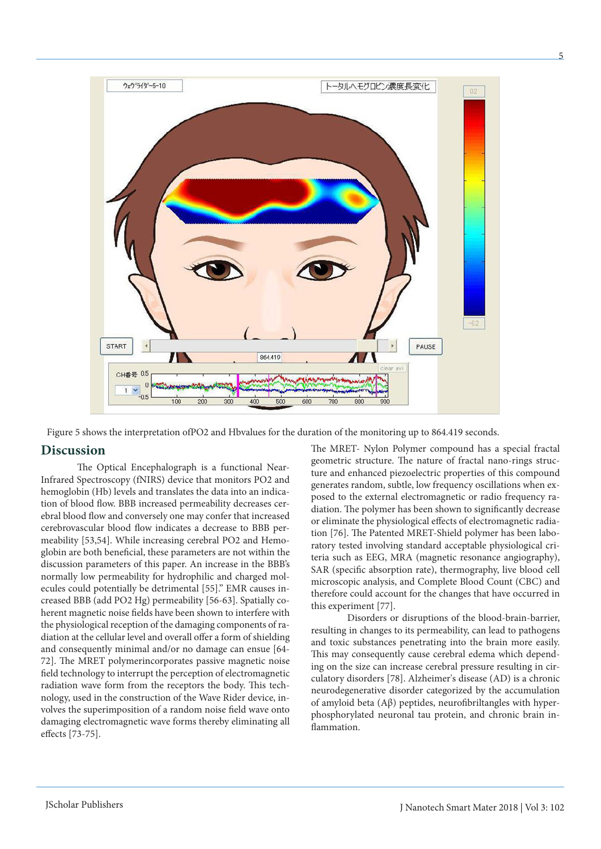

Figure 5 shows the interpretation ofPO2 and Hbvalues for the duration of the monitoring up to 864.419 seconds.

### **Discussion**

The Optical Encephalograph is a functional Near-Infrared Spectroscopy (fNIRS) device that monitors PO2 and hemoglobin (Hb) levels and translates the data into an indication of blood flow. BBB increased permeability decreases cerebral blood flow and conversely one may confer that increased cerebrovascular blood flow indicates a decrease to BBB permeability [53,54]. While increasing cerebral PO2 and Hemoglobin are both beneficial, these parameters are not within the discussion parameters of this paper. An increase in the BBB's normally low permeability for hydrophilic and charged molecules could potentially be detrimental [55]." EMR causes increased BBB (add PO2 Hg) permeability [56-63]. Spatially coherent magnetic noise fields have been shown to interfere with the physiological reception of the damaging components of radiation at the cellular level and overall offer a form of shielding and consequently minimal and/or no damage can ensue [64- 72]. The MRET polymerincorporates passive magnetic noise field technology to interrupt the perception of electromagnetic radiation wave form from the receptors the body. This technology, used in the construction of the Wave Rider device, involves the superimposition of a random noise field wave onto damaging electromagnetic wave forms thereby eliminating all effects [73-75].

The MRET- Nylon Polymer compound has a special fractal geometric structure. The nature of fractal nano-rings structure and enhanced piezoelectric properties of this compound generates random, subtle, low frequency oscillations when exposed to the external electromagnetic or radio frequency radiation. The polymer has been shown to significantly decrease or eliminate the physiological effects of electromagnetic radiation [76]. The Patented MRET-Shield polymer has been laboratory tested involving standard acceptable physiological criteria such as EEG, MRA (magnetic resonance angiography), SAR (specific absorption rate), thermography, live blood cell microscopic analysis, and Complete Blood Count (CBC) and therefore could account for the changes that have occurred in this experiment [77].

Disorders or disruptions of the blood-brain-barrier, resulting in changes to its permeability, can lead to pathogens and toxic substances penetrating into the brain more easily. This may consequently cause cerebral edema which depending on the size can increase cerebral pressure resulting in circulatory disorders [78]. Alzheimer's disease (AD) is a chronic neurodegenerative disorder categorized by the accumulation of amyloid beta (Aβ) peptides, neurofibriltangles with hyperphosphorylated neuronal tau protein, and chronic brain inflammation.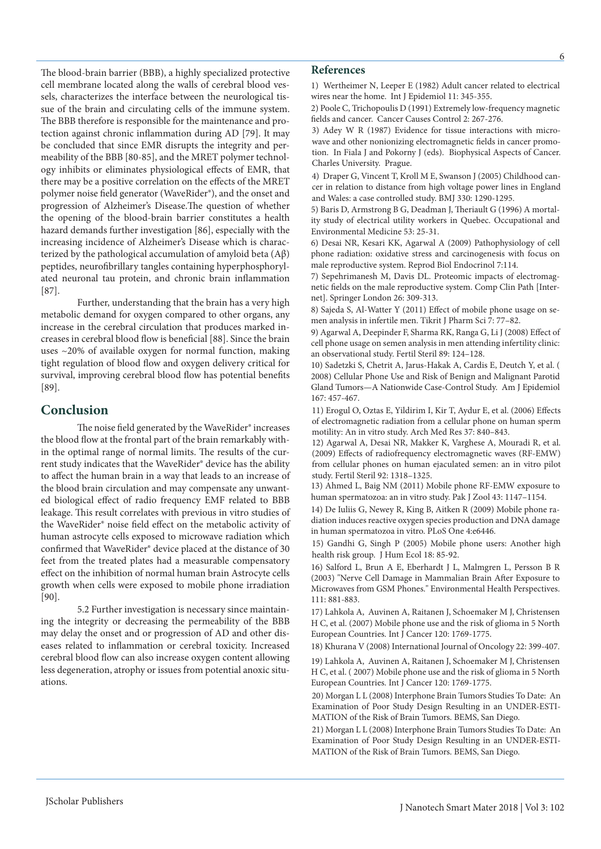The blood-brain barrier (BBB), a highly specialized protective cell membrane located along the walls of cerebral blood vessels, characterizes the interface between the neurological tissue of the brain and circulating cells of the immune system. The BBB therefore is responsible for the maintenance and protection against chronic inflammation during AD [79]. It may be concluded that since EMR disrupts the integrity and permeability of the BBB [80-85], and the MRET polymer technology inhibits or eliminates physiological effects of EMR, that there may be a positive correlation on the effects of the MRET polymer noise field generator (WaveRider®), and the onset and progression of Alzheimer's Disease.The question of whether the opening of the blood‐brain barrier constitutes a health hazard demands further investigation [86], especially with the increasing incidence of Alzheimer's Disease which is characterized by the pathological accumulation of amyloid beta  $(A\beta)$ peptides, neurofibrillary tangles containing hyperphosphorylated neuronal tau protein, and chronic brain inflammation [87].

Further, understanding that the brain has a very high metabolic demand for oxygen compared to other organs, any increase in the cerebral circulation that produces marked increases in cerebral blood flow is beneficial [88]. Since the brain uses ~20% of available oxygen for normal function, making tight regulation of blood flow and oxygen delivery critical for survival, improving cerebral blood flow has potential benefits [89].

# **Conclusion**

The noise field generated by the WaveRider® increases the blood flow at the frontal part of the brain remarkably within the optimal range of normal limits. The results of the current study indicates that the WaveRider® device has the ability to affect the human brain in a way that leads to an increase of the blood brain circulation and may compensate any unwanted biological effect of radio frequency EMF related to BBB leakage. This result correlates with previous in vitro studies of the WaveRider® noise field effect on the metabolic activity of human astrocyte cells exposed to microwave radiation which confirmed that WaveRider® device placed at the distance of 30 feet from the treated plates had a measurable compensatory effect on the inhibition of normal human brain Astrocyte cells growth when cells were exposed to mobile phone irradiation [90].

5.2 Further investigation is necessary since maintaining the integrity or decreasing the permeability of the BBB may delay the onset and or progression of AD and other diseases related to inflammation or cerebral toxicity. Increased cerebral blood flow can also increase oxygen content allowing less degeneration, atrophy or issues from potential anoxic situations.

### **References**

1) Wertheimer N, Leeper E (1982) Adult cancer related to electrical wires near the home. Int J Epidemiol 11: 345-355.

2) Poole C, Trichopoulis D (1991) Extremely low-frequency magnetic fields and cancer. Cancer Causes Control 2: 267-276.

3) Adey W R (1987) Evidence for tissue interactions with microwave and other nonionizing electromagnetic fields in cancer promotion. In Fiala J and Pokorny J (eds). Biophysical Aspects of Cancer. Charles University. Prague.

4) Draper G, Vincent T, Kroll M E, Swanson J (2005) Childhood cancer in relation to distance from high voltage power lines in England and Wales: a case controlled study. BMJ 330: 1290-1295.

5) Baris D, Armstrong B G, Deadman J, Theriault G (1996) A mortality study of electrical utility workers in Quebec. Occupational and Environmental Medicine 53: 25-31.

6) Desai NR, Kesari KK, Agarwal A (2009) Pathophysiology of cell phone radiation: oxidative stress and carcinogenesis with focus on male reproductive system. Reprod Biol Endocrinol 7:114.

7) Sepehrimanesh M, Davis DL. Proteomic impacts of electromagnetic fields on the male reproductive system. Comp Clin Path [Internet]. Springer London 26: 309-313.

8) Sajeda S, Al-Watter Y (2011) Effect of mobile phone usage on semen analysis in infertile men. Tikrit J Pharm Sci 7: 77–82.

9) Agarwal A, Deepinder F, Sharma RK, Ranga G, Li J (2008) Effect of cell phone usage on semen analysis in men attending infertility clinic: an observational study. Fertil Steril 89: 124–128.

10) Sadetzki S, Chetrit A, Jarus-Hakak A, Cardis E, Deutch Y, et al. ( 2008) Cellular Phone Use and Risk of Benign and Malignant Parotid Gland Tumors—A Nationwide Case-Control Study. Am J Epidemiol 167: 457-467.

11) Erogul O, Oztas E, Yildirim I, Kir T, Aydur E, et al. (2006) Effects of electromagnetic radiation from a cellular phone on human sperm motility: An in vitro study. Arch Med Res 37: 840–843.

12) Agarwal A, Desai NR, Makker K, Varghese A, Mouradi R, et al. (2009) Effects of radiofrequency electromagnetic waves (RF-EMW) from cellular phones on human ejaculated semen: an in vitro pilot study. Fertil Steril 92: 1318–1325.

13) Ahmed L, Baig NM (2011) Mobile phone RF-EMW exposure to human spermatozoa: an in vitro study. Pak J Zool 43: 1147–1154.

14) De Iuliis G, Newey R, King B, Aitken R (2009) Mobile phone radiation induces reactive oxygen species production and DNA damage in human spermatozoa in vitro. PLoS One 4:e6446.

15) Gandhi G, Singh P (2005) Mobile phone users: Another high health risk group. J Hum Ecol 18: 85-92.

16) Salford L, Brun A E, Eberhardt J L, Malmgren L, Persson B R (2003) "Nerve Cell Damage in Mammalian Brain After Exposure to Microwaves from GSM Phones." Environmental Health Perspectives. 111: 881-883.

17) Lahkola A, Auvinen A, Raitanen J, Schoemaker M J, Christensen H C, et al. (2007) Mobile phone use and the risk of glioma in 5 North European Countries. Int J Cancer 120: 1769-1775.

18) Khurana V (2008) International Journal of Oncology 22: 399-407.

19) Lahkola A, Auvinen A, Raitanen J, Schoemaker M J, Christensen H C, et al. ( 2007) Mobile phone use and the risk of glioma in 5 North European Countries. Int J Cancer 120: 1769-1775.

20) Morgan L L (2008) Interphone Brain Tumors Studies To Date: An Examination of Poor Study Design Resulting in an UNDER-ESTI-MATION of the Risk of Brain Tumors. BEMS, San Diego.

21) Morgan L L (2008) Interphone Brain Tumors Studies To Date: An Examination of Poor Study Design Resulting in an UNDER-ESTI-MATION of the Risk of Brain Tumors. BEMS, San Diego.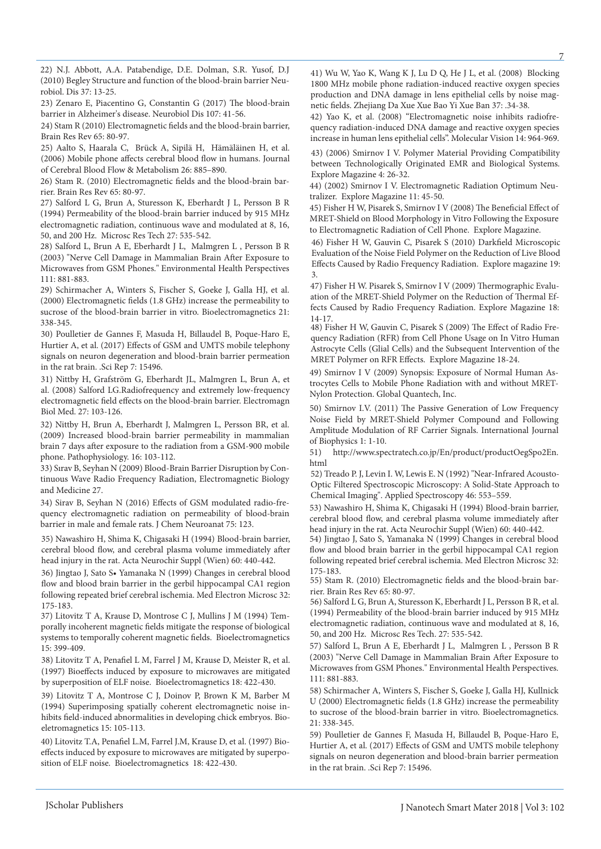22) N.J. Abbott, A.A. Patabendige, D.E. Dolman, S.R. Yusof, D.J (2010) Begley Structure and function of the blood-brain barrier Neurobiol. Dis 37: 13-25.

23) Zenaro E, Piacentino G, Constantin G (2017) The blood-brain barrier in Alzheimer's disease. Neurobiol Dis 107: 41-56.

24) Stam R (2010) Electromagnetic fields and the blood-brain barrier, Brain Res Rev 65: 80-97.

25) Aalto S, Haarala C, Brück A, Sipilä H, Hämäläinen H, et al. (2006) Mobile phone affects cerebral blood flow in humans. Journal of Cerebral Blood Flow & Metabolism 26: 885–890.

26) Stam R. (2010) Electromagnetic fields and the blood-brain barrier. Brain Res Rev 65: 80-97.

27) Salford L G, Brun A, Sturesson K, Eberhardt J L, Persson B R (1994) Permeability of the blood-brain barrier induced by 915 MHz electromagnetic radiation, continuous wave and modulated at 8, 16, 50, and 200 Hz. Microsc Res Tech 27: 535-542.

28) Salford L, Brun A E, Eberhardt J L, Malmgren L , Persson B R (2003) "Nerve Cell Damage in Mammalian Brain After Exposure to Microwaves from GSM Phones." Environmental Health Perspectives 111: 881-883.

29) Schirmacher A, Winters S, Fischer S, Goeke J, Galla HJ, et al. (2000) Electromagnetic fields (1.8 GHz) increase the permeability to sucrose of the blood-brain barrier in vitro. Bioelectromagnetics 21: 338-345.

30) Poulletier de Gannes F, Masuda H, Billaudel B, Poque-Haro E, Hurtier A, et al. (2017) Effects of GSM and UMTS mobile telephony signals on neuron degeneration and blood-brain barrier permeation in the rat brain. .Sci Rep 7: 15496.

31) Nittby H, Grafström G, Eberhardt JL, Malmgren L, Brun A, et al. (2008) Salford LG.Radiofrequency and extremely low-frequency electromagnetic field effects on the blood-brain barrier. Electromagn Biol Med. 27: 103-126.

32) Nittby H, Brun A, Eberhardt J, Malmgren L, Persson BR, et al. (2009) Increased blood-brain barrier permeability in mammalian brain 7 days after exposure to the radiation from a GSM-900 mobile phone. Pathophysiology. 16: 103-112.

33) Sırav B, Seyhan N (2009) Blood-Brain Barrier Disruption by Continuous Wave Radio Frequency Radiation, Electromagnetic Biology and Medicine 27.

34) Sirav B, Seyhan N (2016) Effects of GSM modulated radio-frequency electromagnetic radiation on permeability of blood-brain barrier in male and female rats. J Chem Neuroanat 75: 123.

35) Nawashiro H, Shima K, Chigasaki H (1994) Blood-brain barrier, cerebral blood flow, and cerebral plasma volume immediately after head injury in the rat. Acta Neurochir Suppl (Wien) 60: 440-442.

36) Jingtao J, Sato S• Yamanaka N (1999) Changes in cerebral blood flow and blood brain barrier in the gerbil hippocampal CA1 region following repeated brief cerebral ischemia. Med Electron Microsc 32: 175-183.

37) Litovitz T A, Krause D, Montrose C J, Mullins J M (1994) Temporally incoherent magnetic fields mitigate the response of biological systems to temporally coherent magnetic fields. Bioelectromagnetics 15: 399-409.

38) Litovitz T A, Penafiel L M, Farrel J M, Krause D, Meister R, et al. (1997) Bioeffects induced by exposure to microwaves are mitigated by superposition of ELF noise. Bioelectromagnetics 18: 422-430.

39) Litovitz T A, Montrose C J, Doinov P, Brown K M, Barber M (1994) Superimposing spatially coherent electromagnetic noise inhibits field-induced abnormalities in developing chick embryos. Bioeletromagnetics 15: 105-113.

40) Litovitz T.A, Penafiel L.M, Farrel J.M, Krause D, et al. (1997) Bioeffects induced by exposure to microwaves are mitigated by superposition of ELF noise. Bioelectromagnetics 18: 422-430.

41) Wu W, Yao K, Wang K J, Lu D Q, He J L, et al. (2008) Blocking 1800 MHz mobile phone radiation-induced reactive oxygen species production and DNA damage in lens epithelial cells by noise magnetic fields. Zhejiang Da Xue Xue Bao Yi Xue Ban 37: .34-38.

42) Yao K, et al. (2008) "Electromagnetic noise inhibits radiofrequency radiation-induced DNA damage and reactive oxygen species increase in human lens epithelial cells". Molecular Vision 14: 964-969.

43) (2006) Smirnov I V. Polymer Material Providing Compatibility between Technologically Originated EMR and Biological Systems. Explore Magazine 4: 26-32.

44) (2002) Smirnov I V. Electromagnetic Radiation Optimum Neutralizer. Explore Magazine 11: 45-50.

45) Fisher H W, Pisarek S, Smirnov I V (2008) The Beneficial Effect of MRET-Shield on Blood Morphology in Vitro Following the Exposure to Electromagnetic Radiation of Cell Phone. Explore Magazine.

46) Fisher H W, Gauvin C, Pisarek S (2010) Darkfield Microscopic Evaluation of the Noise Field Polymer on the Reduction of Live Blood Effects Caused by Radio Frequency Radiation. Explore magazine 19: 3.

47) Fisher H W. Pisarek S, Smirnov I V (2009) Thermographic Evaluation of the MRET-Shield Polymer on the Reduction of Thermal Effects Caused by Radio Frequency Radiation. Explore Magazine 18: 14-17.

48) Fisher H W, Gauvin C, Pisarek S (2009) The Effect of Radio Frequency Radiation (RFR) from Cell Phone Usage on In Vitro Human Astrocyte Cells (Glial Cells) and the Subsequent Intervention of the MRET Polymer on RFR Effects. Explore Magazine 18-24.

49) Smirnov I V (2009) Synopsis: Exposure of Normal Human Astrocytes Cells to Mobile Phone Radiation with and without MRET-Nylon Protection. Global Quantech, Inc.

50) Smirnov I.V. (2011) The Passive Generation of Low Frequency Noise Field by MRET-Shield Polymer Compound and Following Amplitude Modulation of RF Carrier Signals. International Journal of Biophysics 1: 1-10.

51) http://www.spectratech.co.jp/En/product/productOegSpo2En. html

52) Treado P. J, Levin I. W, Lewis E. N (1992) "Near-Infrared Acousto-Optic Filtered Spectroscopic Microscopy: A Solid-State Approach to Chemical Imaging". Applied Spectroscopy 46: 553–559.

53) Nawashiro H, Shima K, Chigasaki H (1994) Blood-brain barrier, cerebral blood flow, and cerebral plasma volume immediately after head injury in the rat. Acta Neurochir Suppl (Wien) 60: 440-442.

54) Jingtao J, Sato S, Yamanaka N (1999) Changes in cerebral blood flow and blood brain barrier in the gerbil hippocampal CA1 region following repeated brief cerebral ischemia. Med Electron Microsc 32: 175-183.

55) Stam R. (2010) Electromagnetic fields and the blood-brain barrier. Brain Res Rev 65: 80-97.

56) Salford L G, Brun A, Sturesson K, Eberhardt J L, Persson B R, et al. (1994) Permeability of the blood-brain barrier induced by 915 MHz electromagnetic radiation, continuous wave and modulated at 8, 16, 50, and 200 Hz. Microsc Res Tech. 27: 535-542.

57) Salford L, Brun A E, Eberhardt J L, Malmgren L , Persson B R (2003) "Nerve Cell Damage in Mammalian Brain After Exposure to Microwaves from GSM Phones." Environmental Health Perspectives. 111: 881-883.

58) Schirmacher A, Winters S, Fischer S, Goeke J, Galla HJ, Kullnick U (2000) Electromagnetic fields (1.8 GHz) increase the permeability to sucrose of the blood-brain barrier in vitro. Bioelectromagnetics. 21: 338-345.

59) Poulletier de Gannes F, Masuda H, Billaudel B, Poque-Haro E, Hurtier A, et al. (2017) Effects of GSM and UMTS mobile telephony signals on neuron degeneration and blood-brain barrier permeation in the rat brain. .Sci Rep 7: 15496.